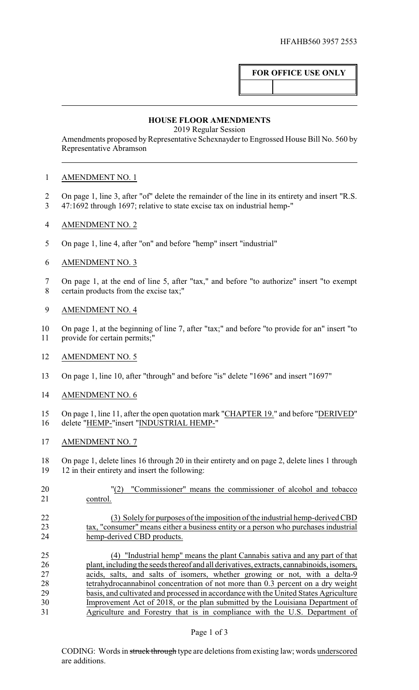# **FOR OFFICE USE ONLY**

### **HOUSE FLOOR AMENDMENTS**

2019 Regular Session

Amendments proposed by Representative Schexnayder to Engrossed House Bill No. 560 by Representative Abramson

## AMENDMENT NO. 1

- On page 1, line 3, after "of" delete the remainder of the line in its entirety and insert "R.S.
- 47:1692 through 1697; relative to state excise tax on industrial hemp-"
- AMENDMENT NO. 2
- On page 1, line 4, after "on" and before "hemp" insert "industrial"
- AMENDMENT NO. 3
- On page 1, at the end of line 5, after "tax," and before "to authorize" insert "to exempt certain products from the excise tax;"
- AMENDMENT NO. 4
- On page 1, at the beginning of line 7, after "tax;" and before "to provide for an" insert "to provide for certain permits;"
- AMENDMENT NO. 5
- On page 1, line 10, after "through" and before "is" delete "1696" and insert "1697"
- AMENDMENT NO. 6
- 15 On page 1, line 11, after the open quotation mark "CHAPTER 19." and before "DERIVED" delete "HEMP-"insert "INDUSTRIAL HEMP-"
- AMENDMENT NO. 7

 On page 1, delete lines 16 through 20 in their entirety and on page 2, delete lines 1 through 12 in their entirety and insert the following:

- "(2) "Commissioner" means the commissioner of alcohol and tobacco control.
- (3) Solely for purposes of the imposition of the industrial hemp-derived CBD tax, "consumer" means either a business entity or a person who purchases industrial hemp-derived CBD products.

 (4) "Industrial hemp" means the plant Cannabis sativa and any part of that plant, including the seeds thereof and all derivatives, extracts, cannabinoids, isomers, 27 acids, salts, and salts of isomers, whether growing or not, with a delta-9 tetrahydrocannabinol concentration of not more than 0.3 percent on a dry weight tetrahydrocannabinol concentration of not more than 0.3 percent on a dry weight basis, and cultivated and processed in accordance with the United States Agriculture Improvement Act of 2018, or the plan submitted by the Louisiana Department of Agriculture and Forestry that is in compliance with the U.S. Department of

#### Page 1 of 3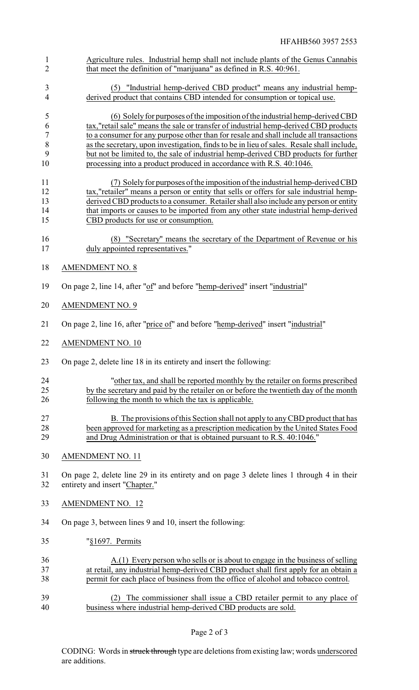Agriculture rules. Industrial hemp shall not include plants of the Genus Cannabis 2 that meet the definition of "marijuana" as defined in R.S. 40:961. (5) "Industrial hemp-derived CBD product" means any industrial hemp- derived product that contains CBD intended for consumption or topical use. (6) Solelyfor purposes of the imposition of the industrial hemp-derived CBD tax,"retail sale" means the sale or transfer of industrial hemp-derived CBD products to a consumer for any purpose other than for resale and shall include all transactions as the secretary, upon investigation, finds to be in lieu of sales. Resale shall include, but not be limited to, the sale of industrial hemp-derived CBD products for further 10 processing into a product produced in accordance with R.S. 40:1046. (7) Solely for purposes of the imposition of the industrial hemp-derived CBD tax,"retailer" means a person or entity that sells or offers for sale industrial hemp- derived CBD products to a consumer. Retailer shall also include any person or entity that imports or causes to be imported from any other state industrial hemp-derived CBD products for use or consumption. (8) "Secretary" means the secretary of the Department of Revenue or his duly appointed representatives." AMENDMENT NO. 8 On page 2, line 14, after "of" and before "hemp-derived" insert "industrial" AMENDMENT NO. 9 On page 2, line 16, after "price of" and before "hemp-derived" insert "industrial" AMENDMENT NO. 10 On page 2, delete line 18 in its entirety and insert the following: <sup>24</sup> "other tax, and shall be reported monthly by the retailer on forms prescribed<br><sup>25</sup> by the secretary and paid by the retailer on or before the twentieth day of the month by the secretary and paid by the retailer on or before the twentieth day of the month following the month to which the tax is applicable. B. The provisions of this Section shall not apply to anyCBD product that has been approved for marketing as a prescription medication by the United States Food and Drug Administration or that is obtained pursuant to R.S. 40:1046." AMENDMENT NO. 11 On page 2, delete line 29 in its entirety and on page 3 delete lines 1 through 4 in their entirety and insert "Chapter." AMENDMENT NO. 12 On page 3, between lines 9 and 10, insert the following: "§1697. Permits A.(1) Every person who sells or is about to engage in the business of selling at retail, any industrial hemp-derived CBD product shall first apply for an obtain a permit for each place of business from the office of alcohol and tobacco control. (2) The commissioner shall issue a CBD retailer permit to any place of business where industrial hemp-derived CBD products are sold.